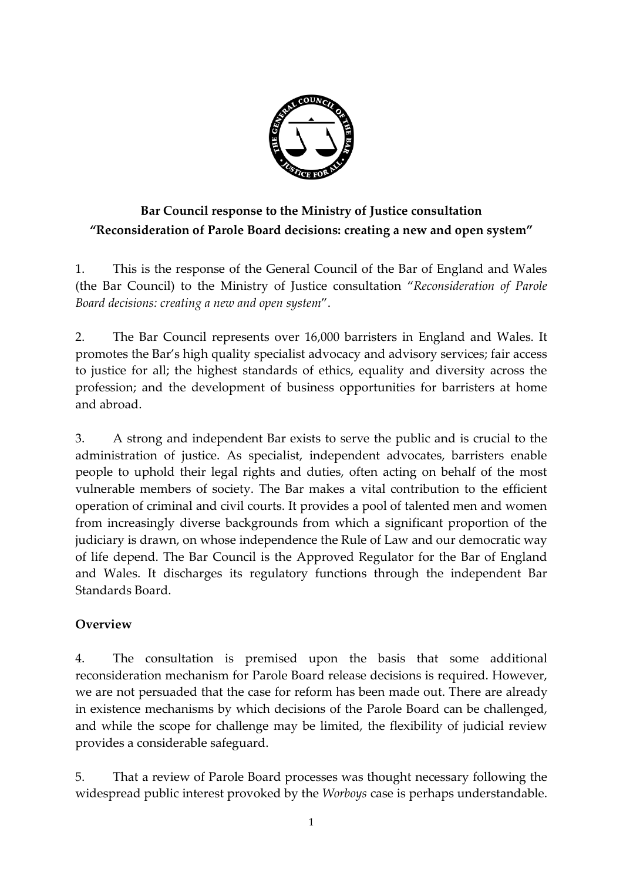

# **Bar Council response to the Ministry of Justice consultation "Reconsideration of Parole Board decisions: creating a new and open system"**

1. This is the response of the General Council of the Bar of England and Wales (the Bar Council) to the Ministry of Justice consultation "*Reconsideration of Parole Board decisions: creating a new and open system*".

2. The Bar Council represents over 16,000 barristers in England and Wales. It promotes the Bar's high quality specialist advocacy and advisory services; fair access to justice for all; the highest standards of ethics, equality and diversity across the profession; and the development of business opportunities for barristers at home and abroad.

3. A strong and independent Bar exists to serve the public and is crucial to the administration of justice. As specialist, independent advocates, barristers enable people to uphold their legal rights and duties, often acting on behalf of the most vulnerable members of society. The Bar makes a vital contribution to the efficient operation of criminal and civil courts. It provides a pool of talented men and women from increasingly diverse backgrounds from which a significant proportion of the judiciary is drawn, on whose independence the Rule of Law and our democratic way of life depend. The Bar Council is the Approved Regulator for the Bar of England and Wales. It discharges its regulatory functions through the independent Bar Standards Board.

#### **Overview**

4. The consultation is premised upon the basis that some additional reconsideration mechanism for Parole Board release decisions is required. However, we are not persuaded that the case for reform has been made out. There are already in existence mechanisms by which decisions of the Parole Board can be challenged, and while the scope for challenge may be limited, the flexibility of judicial review provides a considerable safeguard.

5. That a review of Parole Board processes was thought necessary following the widespread public interest provoked by the *Worboys* case is perhaps understandable.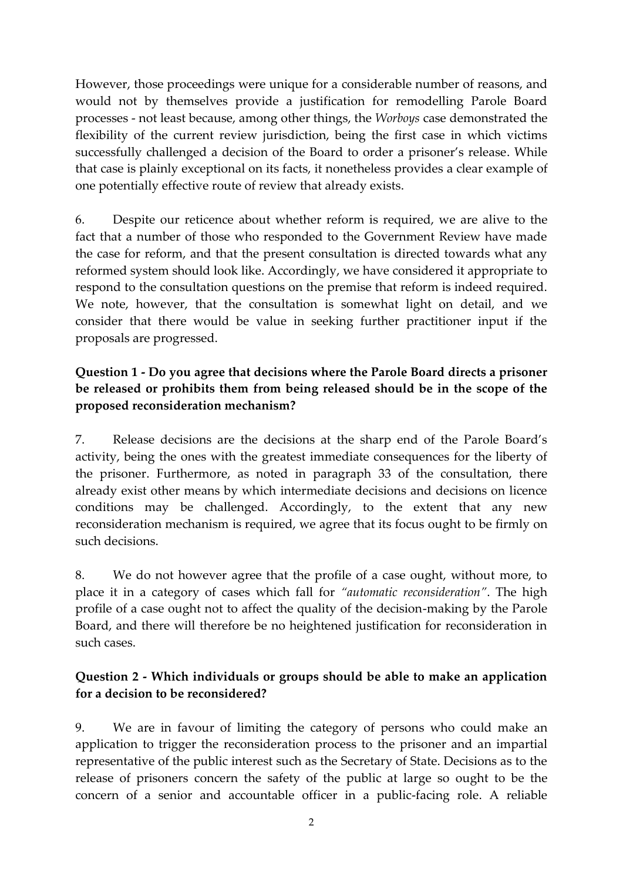However, those proceedings were unique for a considerable number of reasons, and would not by themselves provide a justification for remodelling Parole Board processes - not least because, among other things, the *Worboys* case demonstrated the flexibility of the current review jurisdiction, being the first case in which victims successfully challenged a decision of the Board to order a prisoner's release. While that case is plainly exceptional on its facts, it nonetheless provides a clear example of one potentially effective route of review that already exists.

6. Despite our reticence about whether reform is required, we are alive to the fact that a number of those who responded to the Government Review have made the case for reform, and that the present consultation is directed towards what any reformed system should look like. Accordingly, we have considered it appropriate to respond to the consultation questions on the premise that reform is indeed required. We note, however, that the consultation is somewhat light on detail, and we consider that there would be value in seeking further practitioner input if the proposals are progressed.

#### **Question 1 - Do you agree that decisions where the Parole Board directs a prisoner be released or prohibits them from being released should be in the scope of the proposed reconsideration mechanism?**

7. Release decisions are the decisions at the sharp end of the Parole Board's activity, being the ones with the greatest immediate consequences for the liberty of the prisoner. Furthermore, as noted in paragraph 33 of the consultation, there already exist other means by which intermediate decisions and decisions on licence conditions may be challenged. Accordingly, to the extent that any new reconsideration mechanism is required, we agree that its focus ought to be firmly on such decisions.

8. We do not however agree that the profile of a case ought, without more, to place it in a category of cases which fall for *"automatic reconsideration"*. The high profile of a case ought not to affect the quality of the decision-making by the Parole Board, and there will therefore be no heightened justification for reconsideration in such cases.

#### **Question 2 - Which individuals or groups should be able to make an application for a decision to be reconsidered?**

9. We are in favour of limiting the category of persons who could make an application to trigger the reconsideration process to the prisoner and an impartial representative of the public interest such as the Secretary of State. Decisions as to the release of prisoners concern the safety of the public at large so ought to be the concern of a senior and accountable officer in a public-facing role. A reliable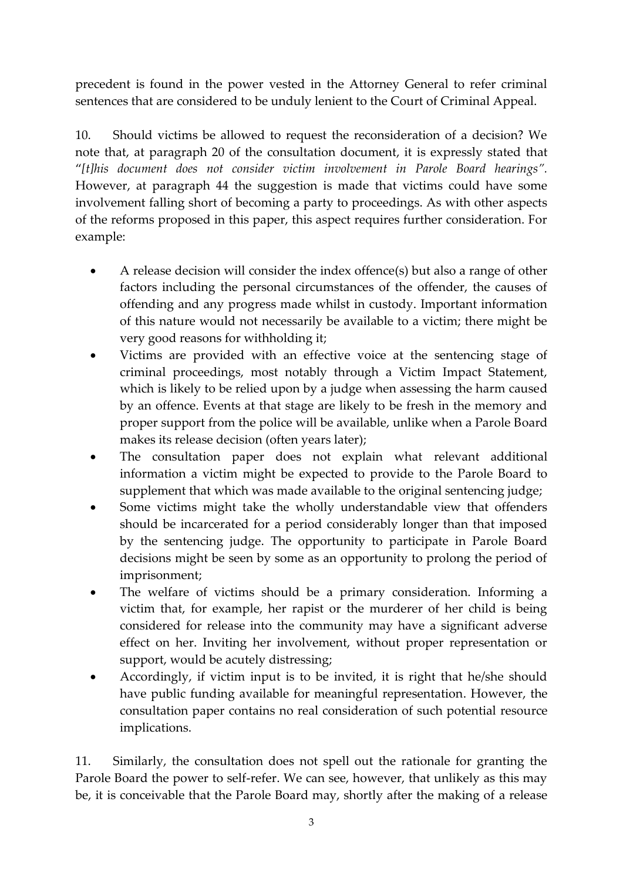precedent is found in the power vested in the Attorney General to refer criminal sentences that are considered to be unduly lenient to the Court of Criminal Appeal.

10. Should victims be allowed to request the reconsideration of a decision? We note that, at paragraph 20 of the consultation document, it is expressly stated that "*[t]his document does not consider victim involvement in Parole Board hearings".*  However, at paragraph 44 the suggestion is made that victims could have some involvement falling short of becoming a party to proceedings. As with other aspects of the reforms proposed in this paper, this aspect requires further consideration. For example:

- A release decision will consider the index offence(s) but also a range of other factors including the personal circumstances of the offender, the causes of offending and any progress made whilst in custody. Important information of this nature would not necessarily be available to a victim; there might be very good reasons for withholding it;
- Victims are provided with an effective voice at the sentencing stage of criminal proceedings, most notably through a Victim Impact Statement, which is likely to be relied upon by a judge when assessing the harm caused by an offence. Events at that stage are likely to be fresh in the memory and proper support from the police will be available, unlike when a Parole Board makes its release decision (often years later);
- The consultation paper does not explain what relevant additional information a victim might be expected to provide to the Parole Board to supplement that which was made available to the original sentencing judge;
- Some victims might take the wholly understandable view that offenders should be incarcerated for a period considerably longer than that imposed by the sentencing judge. The opportunity to participate in Parole Board decisions might be seen by some as an opportunity to prolong the period of imprisonment;
- The welfare of victims should be a primary consideration. Informing a victim that, for example, her rapist or the murderer of her child is being considered for release into the community may have a significant adverse effect on her. Inviting her involvement, without proper representation or support, would be acutely distressing;
- Accordingly, if victim input is to be invited, it is right that he/she should have public funding available for meaningful representation. However, the consultation paper contains no real consideration of such potential resource implications.

11. Similarly, the consultation does not spell out the rationale for granting the Parole Board the power to self-refer. We can see, however, that unlikely as this may be, it is conceivable that the Parole Board may, shortly after the making of a release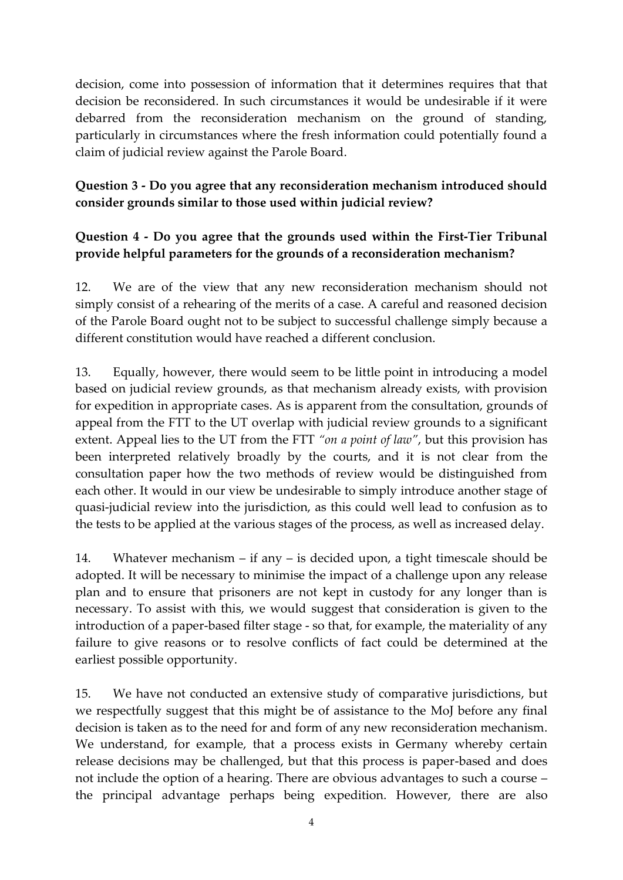decision, come into possession of information that it determines requires that that decision be reconsidered. In such circumstances it would be undesirable if it were debarred from the reconsideration mechanism on the ground of standing, particularly in circumstances where the fresh information could potentially found a claim of judicial review against the Parole Board.

## **Question 3 - Do you agree that any reconsideration mechanism introduced should consider grounds similar to those used within judicial review?**

## **Question 4 - Do you agree that the grounds used within the First-Tier Tribunal provide helpful parameters for the grounds of a reconsideration mechanism?**

12. We are of the view that any new reconsideration mechanism should not simply consist of a rehearing of the merits of a case. A careful and reasoned decision of the Parole Board ought not to be subject to successful challenge simply because a different constitution would have reached a different conclusion.

13. Equally, however, there would seem to be little point in introducing a model based on judicial review grounds, as that mechanism already exists, with provision for expedition in appropriate cases. As is apparent from the consultation, grounds of appeal from the FTT to the UT overlap with judicial review grounds to a significant extent. Appeal lies to the UT from the FTT *"on a point of law"*, but this provision has been interpreted relatively broadly by the courts, and it is not clear from the consultation paper how the two methods of review would be distinguished from each other. It would in our view be undesirable to simply introduce another stage of quasi-judicial review into the jurisdiction, as this could well lead to confusion as to the tests to be applied at the various stages of the process, as well as increased delay.

14. Whatever mechanism – if any – is decided upon, a tight timescale should be adopted. It will be necessary to minimise the impact of a challenge upon any release plan and to ensure that prisoners are not kept in custody for any longer than is necessary. To assist with this, we would suggest that consideration is given to the introduction of a paper-based filter stage - so that, for example, the materiality of any failure to give reasons or to resolve conflicts of fact could be determined at the earliest possible opportunity.

15. We have not conducted an extensive study of comparative jurisdictions, but we respectfully suggest that this might be of assistance to the MoJ before any final decision is taken as to the need for and form of any new reconsideration mechanism. We understand, for example, that a process exists in Germany whereby certain release decisions may be challenged, but that this process is paper-based and does not include the option of a hearing. There are obvious advantages to such a course – the principal advantage perhaps being expedition. However, there are also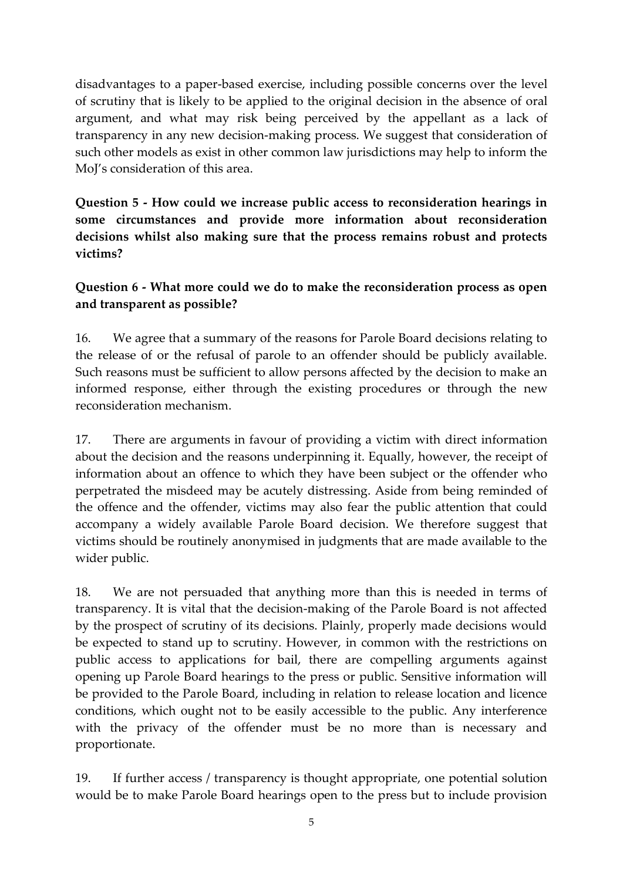disadvantages to a paper-based exercise, including possible concerns over the level of scrutiny that is likely to be applied to the original decision in the absence of oral argument, and what may risk being perceived by the appellant as a lack of transparency in any new decision-making process. We suggest that consideration of such other models as exist in other common law jurisdictions may help to inform the MoJ's consideration of this area.

**Question 5 - How could we increase public access to reconsideration hearings in some circumstances and provide more information about reconsideration decisions whilst also making sure that the process remains robust and protects victims?** 

## **Question 6 - What more could we do to make the reconsideration process as open and transparent as possible?**

16. We agree that a summary of the reasons for Parole Board decisions relating to the release of or the refusal of parole to an offender should be publicly available. Such reasons must be sufficient to allow persons affected by the decision to make an informed response, either through the existing procedures or through the new reconsideration mechanism.

17. There are arguments in favour of providing a victim with direct information about the decision and the reasons underpinning it. Equally, however, the receipt of information about an offence to which they have been subject or the offender who perpetrated the misdeed may be acutely distressing. Aside from being reminded of the offence and the offender, victims may also fear the public attention that could accompany a widely available Parole Board decision. We therefore suggest that victims should be routinely anonymised in judgments that are made available to the wider public.

18. We are not persuaded that anything more than this is needed in terms of transparency. It is vital that the decision-making of the Parole Board is not affected by the prospect of scrutiny of its decisions. Plainly, properly made decisions would be expected to stand up to scrutiny. However, in common with the restrictions on public access to applications for bail, there are compelling arguments against opening up Parole Board hearings to the press or public. Sensitive information will be provided to the Parole Board, including in relation to release location and licence conditions, which ought not to be easily accessible to the public. Any interference with the privacy of the offender must be no more than is necessary and proportionate.

19. If further access / transparency is thought appropriate, one potential solution would be to make Parole Board hearings open to the press but to include provision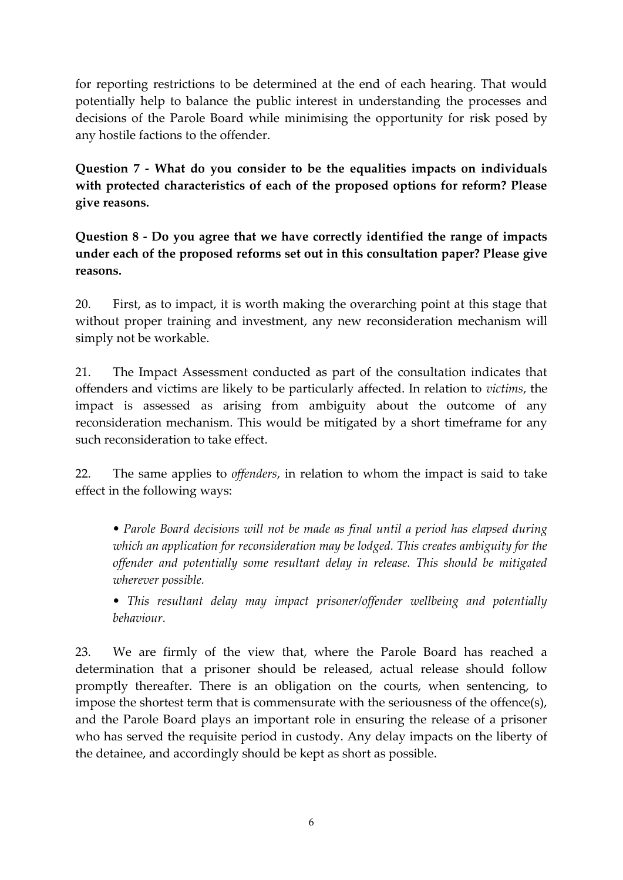for reporting restrictions to be determined at the end of each hearing. That would potentially help to balance the public interest in understanding the processes and decisions of the Parole Board while minimising the opportunity for risk posed by any hostile factions to the offender.

**Question 7 - What do you consider to be the equalities impacts on individuals with protected characteristics of each of the proposed options for reform? Please give reasons.** 

**Question 8 - Do you agree that we have correctly identified the range of impacts under each of the proposed reforms set out in this consultation paper? Please give reasons.**

20. First, as to impact, it is worth making the overarching point at this stage that without proper training and investment, any new reconsideration mechanism will simply not be workable.

21. The Impact Assessment conducted as part of the consultation indicates that offenders and victims are likely to be particularly affected. In relation to *victims*, the impact is assessed as arising from ambiguity about the outcome of any reconsideration mechanism. This would be mitigated by a short timeframe for any such reconsideration to take effect.

22. The same applies to *offenders*, in relation to whom the impact is said to take effect in the following ways:

*• Parole Board decisions will not be made as final until a period has elapsed during which an application for reconsideration may be lodged. This creates ambiguity for the offender and potentially some resultant delay in release. This should be mitigated wherever possible.* 

*• This resultant delay may impact prisoner/offender wellbeing and potentially behaviour.* 

23. We are firmly of the view that, where the Parole Board has reached a determination that a prisoner should be released, actual release should follow promptly thereafter. There is an obligation on the courts, when sentencing, to impose the shortest term that is commensurate with the seriousness of the offence(s), and the Parole Board plays an important role in ensuring the release of a prisoner who has served the requisite period in custody. Any delay impacts on the liberty of the detainee, and accordingly should be kept as short as possible.